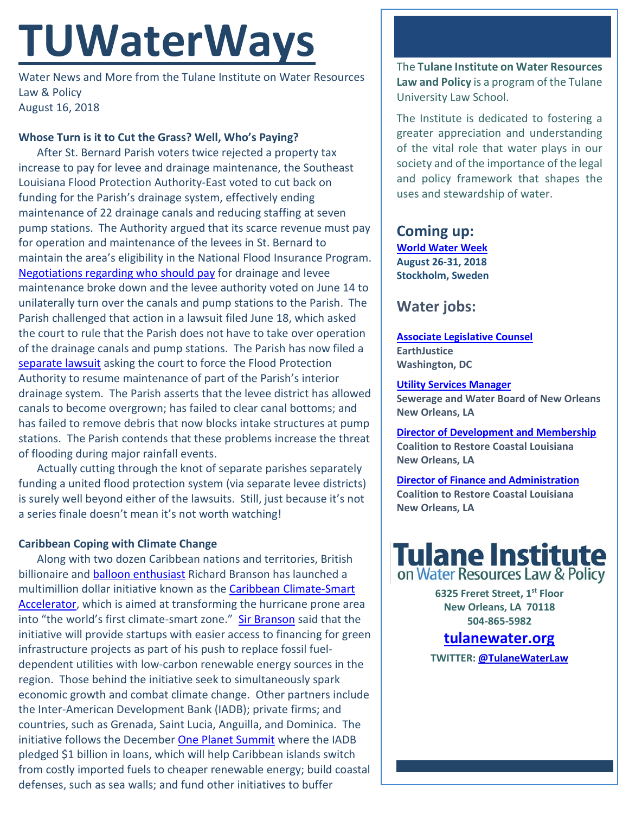# **TUWaterWays**

Water News and More from the Tulane Institute on Water Resources Law & Policy August 16, 2018

## **Whose Turn is it to Cut the Grass? Well, Who's Paying?**

After St. Bernard Parish voters twice rejected a property tax increase to pay for levee and drainage maintenance, the Southeast Louisiana Flood Protection Authority-East voted to cut back on funding for the Parish's drainage system, effectively ending maintenance of 22 drainage canals and reducing staffing at seven pump stations. The Authority argued that its scarce revenue must pay for operation and maintenance of the levees in St. Bernard to maintain the area's eligibility in the National Flood Insurance Program. [Negotiations regarding who should pay](https://www.nola.com/environment/index.ssf/2017/09/st_bernard_drainage_funding_dispute.html) for drainage and levee maintenance broke down and the levee authority voted on June 14 to unilaterally turn over the canals and pump stations to the Parish. The Parish challenged that action in a lawsuit filed June 18, which asked the court to rule that the Parish does not have to take over operation of the drainage canals and pump stations. The Parish has now filed a [separate lawsuit](https://www.nola.com/expo/news/erry-2018/08/445a6952c69916/st-bernard-wants-court-to-forc.html) asking the court to force the Flood Protection Authority to resume maintenance of part of the Parish's interior drainage system. The Parish asserts that the levee district has allowed canals to become overgrown; has failed to clear canal bottoms; and has failed to remove debris that now blocks intake structures at pump stations. The Parish contends that these problems increase the threat of flooding during major rainfall events.

Actually cutting through the knot of separate parishes separately funding a united flood protection system (via separate levee districts) is surely well beyond either of the lawsuits. Still, just because it's not a series finale doesn't mean it's not worth watching!

### **Caribbean Coping with Climate Change**

Along with two dozen Caribbean nations and territories, British billionaire and [balloon enthusiast](https://www.youtube.com/watch?v=MnudGSHUJ8o) Richard Branson has launched a multimillion dollar initiative known as the [Caribbean Climate-Smart](https://www.caribbeanaccelerator.org/)  [Accelerator,](https://www.caribbeanaccelerator.org/) which is aimed at transforming the hurricane prone area into "the world's first climate-smart zone." [Sir Branson](http://news.bbc.co.uk/2/hi/uk_news/695511.stm) said that the initiative will provide startups with easier access to financing for green infrastructure projects as part of his push to replace fossil fueldependent utilities with low-carbon renewable energy sources in the region. Those behind the initiative seek to simultaneously spark economic growth and combat climate change. Other partners include the Inter-American Development Bank (IADB); private firms; and countries, such as Grenada, Saint Lucia, Anguilla, and Dominica. The initiative follows the December [One Planet Summit](https://www.oneplanetsummit.fr/en/) where the IADB pledged \$1 billion in loans, which will help Caribbean islands switch from costly imported fuels to cheaper renewable energy; build coastal defenses, such as sea walls; and fund other initiatives to buffer

The **Tulane Institute on Water Resources Law and Policy** is a program of the Tulane University Law School.

The Institute is dedicated to fostering a greater appreciation and understanding of the vital role that water plays in our society and of the importance of the legal and policy framework that shapes the uses and stewardship of water.

## **Coming up:**

**[World Water Week](http://www.worldwaterweek.org/) August 26-31, 2018 Stockholm, Sweden**

# **Water jobs:**

**[Associate Legislative Counsel](https://earthjustice.org/about/jobs/37087/associate-legislative-counsel) EarthJustice Washington, DC**

#### **[Utility Services Manager](https://www.governmentjobs.com/careers/neworleans/jobs/1669977/utility-senior-services-manager-economically-disadvantaged-business-program-cl?sort=Salary%7CDescending&keywords=water&pagetype=jobOpportunitiesJobshttps://www.usajobs.gov/GetJob/ViewDetails/501983400)**

**Sewerage and Water Board of New Orleans New Orleans, LA** 

**[Director of Development and Membership](https://crcl.org/about-us/employment-opportunities/20-about-us/employment-opportunities/439-director-of-development-and-membership.html) Coalition to Restore Coastal Louisiana New Orleans, LA**

**[Director of Finance and Administration](https://crcl.org/about-us/employment-opportunities/14-about-us/440-director-of-finance-and-administration.html) Coalition to Restore Coastal Louisiana New Orleans, LA**



**6325 Freret Street, 1st Floor New Orleans, LA 70118 504-865-5982** 

## **tulanewater.org**

**TWITTER[: @TulaneWaterLaw](http://www.twitter.com/TulaneWaterLaw)**